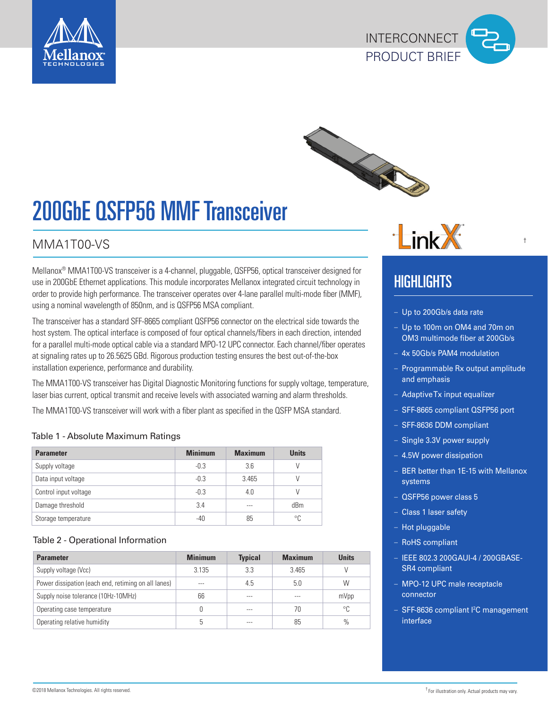





# 200GbE QSFP56 MMF Transceiver

### MMA1T00-VS

Mellanox® MMA1T00-VS transceiver is a 4-channel, pluggable, QSFP56, optical transceiver designed for use in 200GbE Ethernet applications. This module incorporates Mellanox integrated circuit technology in order to provide high performance. The transceiver operates over 4-lane parallel multi-mode fiber (MMF), using a nominal wavelength of 850nm, and is QSFP56 MSA compliant.

The transceiver has a standard SFF-8665 compliant QSFP56 connector on the electrical side towards the host system. The optical interface is composed of four optical channels/fibers in each direction, intended for a parallel multi-mode optical cable via a standard MPO-12 UPC connector. Each channel/fiber operates at signaling rates up to 26.5625 GBd. Rigorous production testing ensures the best out-of-the-box installation experience, performance and durability.

The MMA1T00-VS transceiver has Digital Diagnostic Monitoring functions for supply voltage, temperature, laser bias current, optical transmit and receive levels with associated warning and alarm thresholds.

The MMA1T00-VS transceiver will work with a fiber plant as specified in the QSFP MSA standard.

#### Table 1 - Absolute Maximum Ratings

| <b>Parameter</b>      | <b>Minimum</b> | <b>Maximum</b> | <b>Units</b> |
|-----------------------|----------------|----------------|--------------|
| Supply voltage        | $-0.3$         | 3.6            |              |
| Data input voltage    | $-0.3$         | 3.465          |              |
| Control input voltage | $-0.3$         | 4.0            |              |
| Damage threshold      | 3.4            | ---            | dBm          |
| Storage temperature   | -40            | 85             | °C           |

#### Table 2 - Operational Information

| <b>Parameter</b>                                    | <b>Minimum</b> | <b>Typical</b> | <b>Maximum</b> | <b>Units</b> |
|-----------------------------------------------------|----------------|----------------|----------------|--------------|
| Supply voltage (Vcc)                                | 3.135          | 3.3            | 3.465          |              |
| Power dissipation (each end, retiming on all lanes) | $- - -$        | 4.5            | 5.0            | W            |
| Supply noise tolerance (10Hz-10MHz)                 | 66             | ---            | ---            | mVpp         |
| Operating case temperature                          |                | ---            | 70             | °C           |
| Operating relative humidity                         |                |                | 85             | $\%$         |



#### †

## HIGHLIGHTS

- Up to 200Gb/s data rate
- Up to 100m on OM4 and 70m on OM3 multimode fiber at 200Gb/s
- 4x 50Gb/s PAM4 modulation
- Programmable Rx output amplitude and emphasis
- Adaptive Tx input equalizer
- SFF-8665 compliant QSFP56 port
- SFF-8636 DDM compliant
- Single 3.3V power supply
- 4.5W power dissipation
- BER better than 1E-15 with Mellanox systems
- QSFP56 power class 5
- Class 1 laser safety
- Hot pluggable
- RoHS compliant
- IEEE 802.3 200GAUI-4 / 200GBASE-SR4 compliant
- MPO-12 UPC male receptacle connector
- SFF-8636 compliant l<sup>2</sup>C management interface